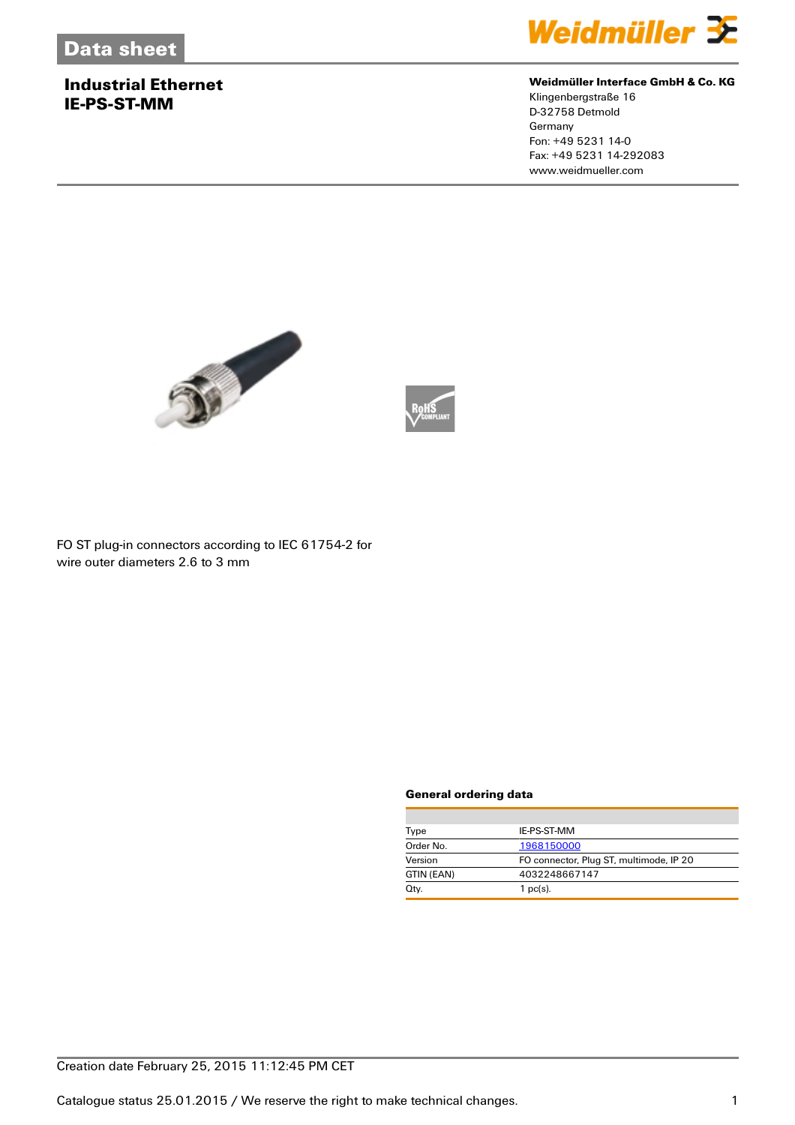### **Industrial Ethernet IE-PS-ST-MM**



#### **Weidmüller Interface GmbH & Co. KG**

Klingenbergstraße 16 D-32758 Detmold Germany Fon: +49 5231 14-0 Fax: +49 5231 14-292083 www.weidmueller.com





FO ST plug-in connectors according to IEC 61754-2 for wire outer diameters 2.6 to 3 mm

#### **General ordering data**

| IE-PS-ST-MM                             |
|-----------------------------------------|
| 1968150000                              |
| FO connector, Plug ST, multimode, IP 20 |
| 4032248667147                           |
| $1$ pc(s).                              |
|                                         |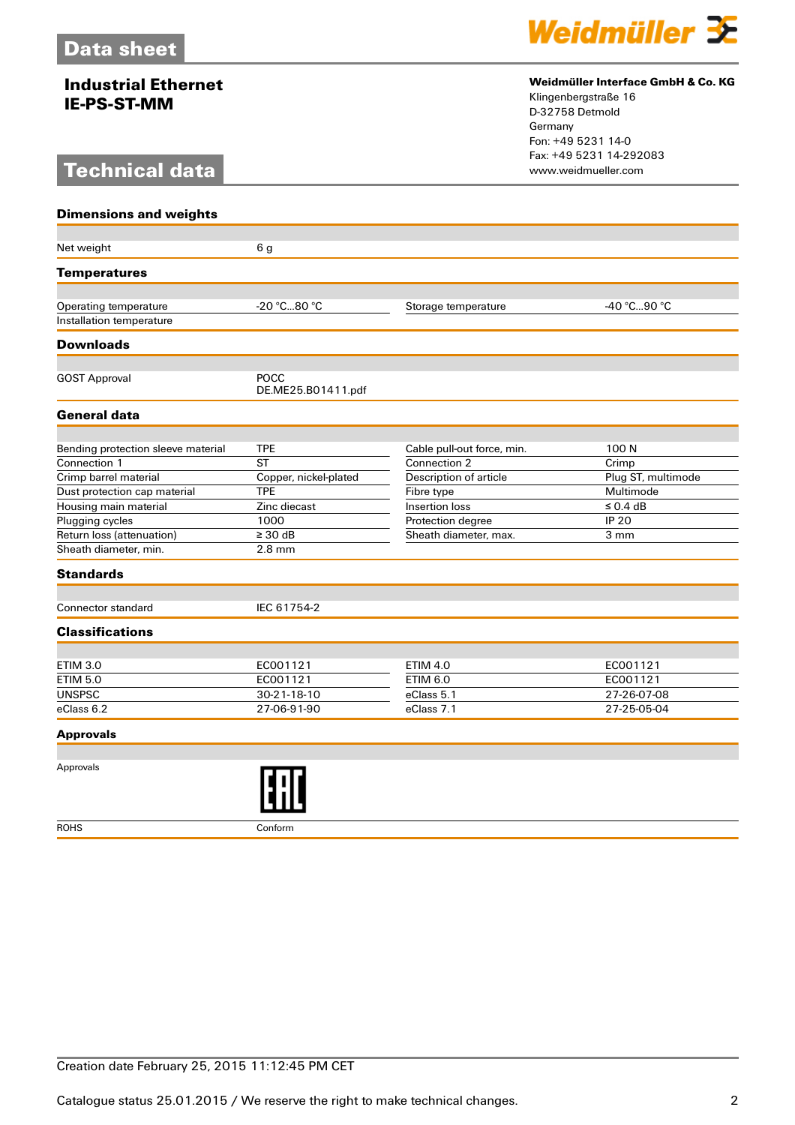## **Industrial Ethernet IE-PS-ST-MM**

# **Technical data**



#### **Weidmüller Interface GmbH & Co. KG**

Klingenbergstraße 16 D-32758 Detmold Germany Fon: +49 5231 14-0 Fax: +49 5231 14-292083

| <b>Dimensions and weights</b>      |                            |                            |                    |
|------------------------------------|----------------------------|----------------------------|--------------------|
|                                    |                            |                            |                    |
| Net weight                         | 6 <sub>g</sub>             |                            |                    |
| <b>Temperatures</b>                |                            |                            |                    |
|                                    |                            |                            |                    |
| Operating temperature              | -20 °C80 °C                | Storage temperature        | -40 °C90 °C        |
| Installation temperature           |                            |                            |                    |
| <b>Downloads</b>                   |                            |                            |                    |
|                                    |                            |                            |                    |
| <b>GOST Approval</b>               | POCC<br>DE.ME25.B01411.pdf |                            |                    |
| <b>General data</b>                |                            |                            |                    |
|                                    |                            |                            |                    |
| Bending protection sleeve material | <b>TPE</b>                 | Cable pull-out force, min. | 100N               |
| Connection 1                       | <b>ST</b>                  | Connection 2               | Crimp              |
| Crimp barrel material              | Copper, nickel-plated      | Description of article     | Plug ST, multimode |
| Dust protection cap material       | <b>TPE</b>                 | Fibre type                 | Multimode          |
| Housing main material              | Zinc diecast               | Insertion loss             | $\leq$ 0.4 dB      |
| Plugging cycles                    | 1000                       | Protection degree          | <b>IP 20</b>       |
| Return loss (attenuation)          | $\geq 30$ dB               | Sheath diameter, max.      | 3 mm               |
| Sheath diameter, min.              | $2.8$ mm                   |                            |                    |
| <b>Standards</b>                   |                            |                            |                    |
| Connector standard                 | IEC 61754-2                |                            |                    |
| <b>Classifications</b>             |                            |                            |                    |
|                                    |                            |                            |                    |
| <b>ETIM 3.0</b>                    | EC001121                   | <b>ETIM 4.0</b>            | EC001121           |
| <b>ETIM 5.0</b>                    | EC001121                   | <b>ETIM 6.0</b>            | EC001121           |
| <b>UNSPSC</b>                      | 30-21-18-10                | eClass 5.1                 | 27-26-07-08        |
| eClass 6.2                         | 27-06-91-90                | eClass 7.1                 | 27-25-05-04        |
| <b>Approvals</b>                   |                            |                            |                    |
|                                    |                            |                            |                    |
| Approvals                          |                            |                            |                    |

ROHS Conform